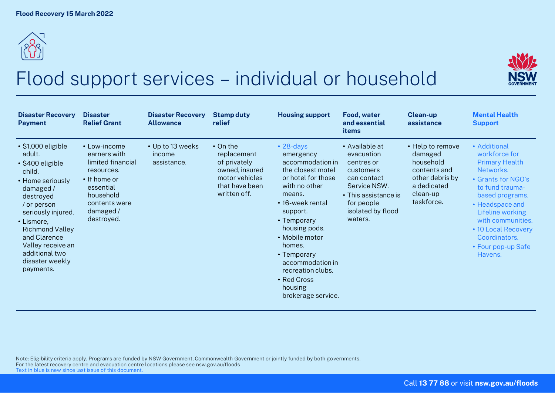



## Flood support services – individual or household

| <b>Disaster Recovery</b><br><b>Payment</b>                                                                                                                                                                                                                                              | <b>Disaster</b><br><b>Relief Grant</b>                                                                                                               | <b>Disaster Recovery</b><br><b>Allowance</b> | <b>Stamp duty</b><br>relief                                                                                         | <b>Housing support</b>                                                                                                                                                                                                                                                                                                     | <b>Food, water</b><br>and essential<br>items                                                                                                                 | <b>Clean-up</b><br>assistance                                                                                        | <b>Mental Health</b><br><b>Support</b>                                                                                                                                                                                                                               |
|-----------------------------------------------------------------------------------------------------------------------------------------------------------------------------------------------------------------------------------------------------------------------------------------|------------------------------------------------------------------------------------------------------------------------------------------------------|----------------------------------------------|---------------------------------------------------------------------------------------------------------------------|----------------------------------------------------------------------------------------------------------------------------------------------------------------------------------------------------------------------------------------------------------------------------------------------------------------------------|--------------------------------------------------------------------------------------------------------------------------------------------------------------|----------------------------------------------------------------------------------------------------------------------|----------------------------------------------------------------------------------------------------------------------------------------------------------------------------------------------------------------------------------------------------------------------|
| $\cdot$ \$1,000 eligible<br>adult.<br>$\cdot$ \$400 eligible<br>child.<br>• Home seriously<br>damaged/<br>destroyed<br>/ or person<br>seriously injured.<br>• Lismore,<br><b>Richmond Valley</b><br>and Clarence<br>Valley receive an<br>additional two<br>disaster weekly<br>payments. | • Low-income<br>earners with<br>limited financial<br>resources.<br>• If home or<br>essential<br>household<br>contents were<br>damaged/<br>destroyed. | • Up to 13 weeks<br>income<br>assistance.    | $\cdot$ On the<br>replacement<br>of privately<br>owned, insured<br>motor vehicles<br>that have been<br>written off. | $\cdot$ 28-days<br>emergency<br>accommodation in<br>the closest motel<br>or hotel for those<br>with no other<br>means.<br>• 16-week rental<br>support.<br>• Temporary<br>housing pods.<br>• Mobile motor<br>homes.<br>• Temporary<br>accommodation in<br>recreation clubs.<br>• Red Cross<br>housing<br>brokerage service. | • Available at<br>evacuation<br>centres or<br>customers<br>can contact<br>Service NSW.<br>• This assistance is<br>for people<br>isolated by flood<br>waters. | • Help to remove<br>damaged<br>household<br>contents and<br>other debris by<br>a dedicated<br>clean-up<br>taskforce. | • Additional<br>workforce for<br><b>Primary Health</b><br>Networks.<br>• Grants for NGO's<br>to fund trauma-<br>based programs.<br>• Headspace and<br>Lifeline working<br>with communities.<br>• 10 Local Recovery<br>Coordinators.<br>• Four pop-up Safe<br>Havens. |